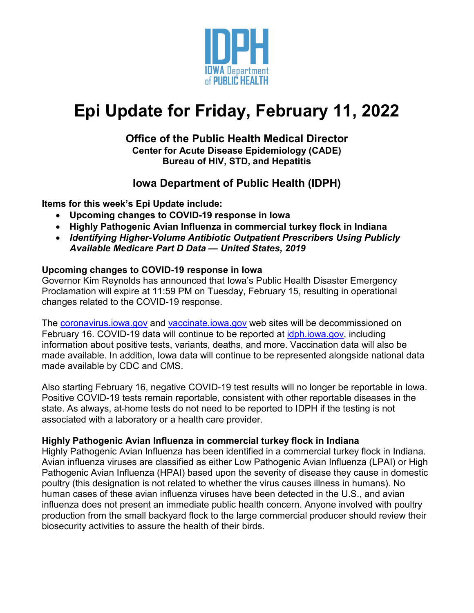

# **Epi Update for Friday, February 11, 2022**

## **Office of the Public Health Medical Director Center for Acute Disease Epidemiology (CADE) Bureau of HIV, STD, and Hepatitis**

# **Iowa Department of Public Health (IDPH)**

**Items for this week's Epi Update include:**

- **Upcoming changes to COVID-19 response in Iowa**
- **Highly Pathogenic Avian Influenza in commercial turkey flock in Indiana**
- *Identifying Higher-Volume Antibiotic Outpatient Prescribers Using Publicly Available Medicare Part D Data — United States, 2019*

## **Upcoming changes to COVID-19 response in Iowa**

Governor Kim Reynolds has announced that Iowa's Public Health Disaster Emergency Proclamation will expire at 11:59 PM on Tuesday, February 15, resulting in operational changes related to the COVID-19 response.

The [coronavirus.iowa.gov](https://coronavirus.iowa.gov/) and [vaccinate.iowa.gov](https://vaccinate.iowa.gov/) web sites will be decommissioned on February 16. COVID-19 data will continue to be reported at [idph.iowa.gov,](https://idph.iowa.gov/) including information about positive tests, variants, deaths, and more. Vaccination data will also be made available. In addition, Iowa data will continue to be represented alongside national data made available by CDC and CMS.

Also starting February 16, negative COVID-19 test results will no longer be reportable in Iowa. Positive COVID-19 tests remain reportable, consistent with other reportable diseases in the state. As always, at-home tests do not need to be reported to IDPH if the testing is not associated with a laboratory or a health care provider.

## **Highly Pathogenic Avian Influenza in commercial turkey flock in Indiana**

Highly Pathogenic Avian Influenza has been identified in a commercial turkey flock in Indiana. Avian influenza viruses are classified as either Low Pathogenic Avian Influenza (LPAI) or High Pathogenic Avian Influenza (HPAI) based upon the severity of disease they cause in domestic poultry (this designation is not related to whether the virus causes illness in humans). No human cases of these avian influenza viruses have been detected in the U.S., and avian influenza does not present an immediate public health concern. Anyone involved with poultry production from the small backyard flock to the large commercial producer should review their biosecurity activities to assure the health of their birds.